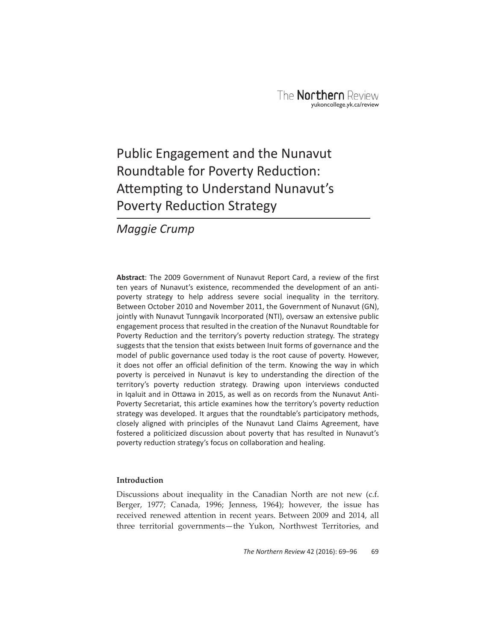# Public Engagement and the Nunavut Roundtable for Poverty Reduction: Attempting to Understand Nunavut's Poverty Reduction Strategy

*Maggie Crump*

**Abstract**: The 2009 Government of Nunavut Report Card, a review of the first ten years of Nunavut's existence, recommended the development of an antipoverty strategy to help address severe social inequality in the territory. Between October 2010 and November 2011, the Government of Nunavut (GN), jointly with Nunavut Tunngavik Incorporated (NTI), oversaw an extensive public engagement process that resulted in the creation of the Nunavut Roundtable for Poverty Reduction and the territory's poverty reduction strategy. The strategy suggests that the tension that exists between Inuit forms of governance and the model of public governance used today is the root cause of poverty. However, it does not offer an official definition of the term. Knowing the way in which poverty is perceived in Nunavut is key to understanding the direction of the territory's poverty reduction strategy. Drawing upon interviews conducted in Iqaluit and in Ottawa in 2015, as well as on records from the Nunavut Anti-Poverty Secretariat, this article examines how the territory's poverty reduction strategy was developed. It argues that the roundtable's participatory methods, closely aligned with principles of the Nunavut Land Claims Agreement, have fostered a politicized discussion about poverty that has resulted in Nunavut's poverty reduction strategy's focus on collaboration and healing.

# **Introduction**

Discussions about inequality in the Canadian North are not new (c.f. Berger, 1977; Canada, 1996; Jenness, 1964); however, the issue has received renewed attention in recent years. Between 2009 and 2014, all three territorial governments—the Yukon, Northwest Territories, and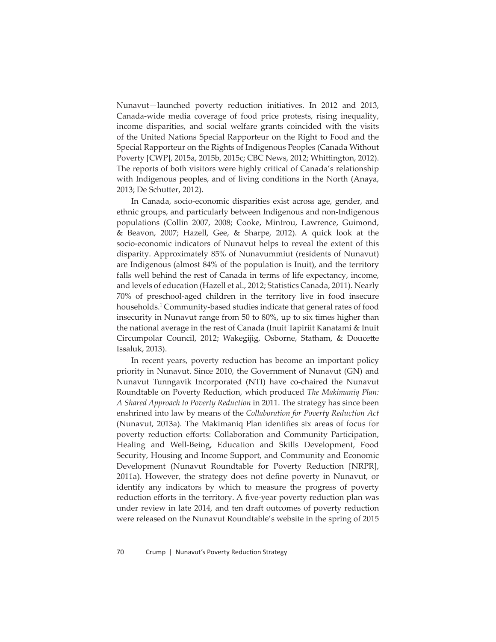Nunavut—launched poverty reduction initiatives. In 2012 and 2013, Canada-wide media coverage of food price protests, rising inequality, income disparities, and social welfare grants coincided with the visits of the United Nations Special Rapporteur on the Right to Food and the Special Rapporteur on the Rights of Indigenous Peoples (Canada Without Poverty [CWP], 2015a, 2015b, 2015c; CBC News, 2012; Whittington, 2012). The reports of both visitors were highly critical of Canada's relationship with Indigenous peoples, and of living conditions in the North (Anaya, 2013; De Schutter, 2012).

In Canada, socio-economic disparities exist across age, gender, and ethnic groups, and particularly between Indigenous and non-Indigenous populations (Collin 2007, 2008; Cooke, Mintrou, Lawrence, Guimond, & Beavon, 2007; Hazell, Gee, & Sharpe, 2012). A quick look at the socio-economic indicators of Nunavut helps to reveal the extent of this disparity. Approximately 85% of Nunavummiut (residents of Nunavut) are Indigenous (almost 84% of the population is Inuit), and the territory falls well behind the rest of Canada in terms of life expectancy, income, and levels of education (Hazell et al., 2012; Statistics Canada, 2011). Nearly 70% of preschool-aged children in the territory live in food insecure households.1 Community-based studies indicate that general rates of food insecurity in Nunavut range from 50 to 80%, up to six times higher than the national average in the rest of Canada (Inuit Tapiriit Kanatami & Inuit Circumpolar Council, 2012; Wakegijig, Osborne, Statham, & Doucette Issaluk, 2013).

In recent years, poverty reduction has become an important policy priority in Nunavut. Since 2010, the Government of Nunavut (GN) and Nunavut Tunngavik Incorporated (NTI) have co-chaired the Nunavut Roundtable on Poverty Reduction, which produced *The Makimaniq Plan: A Shared Approach to Poverty Reduction* in 2011. The strategy has since been enshrined into law by means of the *Collaboration for Poverty Reduction Act* (Nunavut, 2013a). The Makimaniq Plan identifies six areas of focus for poverty reduction efforts: Collaboration and Community Participation, Healing and Well-Being, Education and Skills Development, Food Security, Housing and Income Support, and Community and Economic Development (Nunavut Roundtable for Poverty Reduction [NRPR], 2011a). However, the strategy does not define poverty in Nunavut, or identify any indicators by which to measure the progress of poverty reduction efforts in the territory. A five-year poverty reduction plan was under review in late 2014, and ten draft outcomes of poverty reduction were released on the Nunavut Roundtable's website in the spring of 2015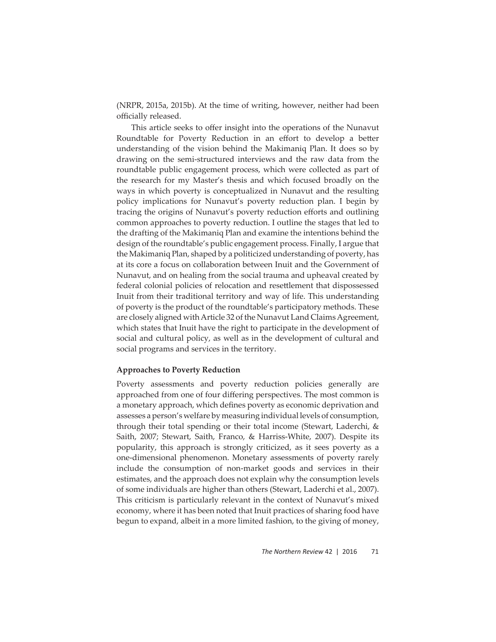(NRPR, 2015a, 2015b). At the time of writing, however, neither had been officially released.

This article seeks to offer insight into the operations of the Nunavut Roundtable for Poverty Reduction in an effort to develop a better understanding of the vision behind the Makimaniq Plan. It does so by drawing on the semi-structured interviews and the raw data from the roundtable public engagement process, which were collected as part of the research for my Master's thesis and which focused broadly on the ways in which poverty is conceptualized in Nunavut and the resulting policy implications for Nunavut's poverty reduction plan. I begin by tracing the origins of Nunavut's poverty reduction efforts and outlining common approaches to poverty reduction. I outline the stages that led to the drafting of the Makimaniq Plan and examine the intentions behind the design of the roundtable's public engagement process. Finally, I argue that the Makimaniq Plan, shaped by a politicized understanding of poverty, has at its core a focus on collaboration between Inuit and the Government of Nunavut, and on healing from the social trauma and upheaval created by federal colonial policies of relocation and resettlement that dispossessed Inuit from their traditional territory and way of life. This understanding of poverty is the product of the roundtable's participatory methods. These are closely aligned with Article 32 of the Nunavut Land Claims Agreement, which states that Inuit have the right to participate in the development of social and cultural policy, as well as in the development of cultural and social programs and services in the territory.

#### **Approaches to Poverty Reduction**

Poverty assessments and poverty reduction policies generally are approached from one of four differing perspectives. The most common is a monetary approach, which defines poverty as economic deprivation and assesses a person's welfare by measuring individual levels of consumption, through their total spending or their total income (Stewart, Laderchi, & Saith, 2007; Stewart, Saith, Franco, & Harriss-White, 2007). Despite its popularity, this approach is strongly criticized, as it sees poverty as a one-dimensional phenomenon. Monetary assessments of poverty rarely include the consumption of non-market goods and services in their estimates, and the approach does not explain why the consumption levels of some individuals are higher than others (Stewart, Laderchi et al., 2007). This criticism is particularly relevant in the context of Nunavut's mixed economy, where it has been noted that Inuit practices of sharing food have begun to expand, albeit in a more limited fashion, to the giving of money,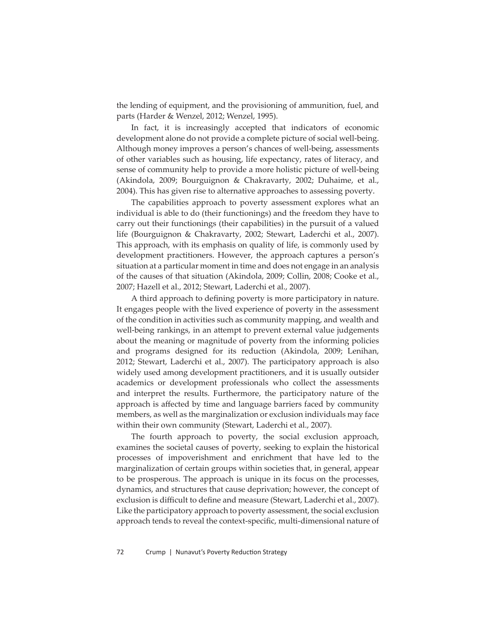the lending of equipment, and the provisioning of ammunition, fuel, and parts (Harder & Wenzel, 2012; Wenzel, 1995).

In fact, it is increasingly accepted that indicators of economic development alone do not provide a complete picture of social well-being. Although money improves a person's chances of well-being, assessments of other variables such as housing, life expectancy, rates of literacy, and sense of community help to provide a more holistic picture of well-being (Akindola, 2009; Bourguignon & Chakravarty, 2002; Duhaime, et al., 2004). This has given rise to alternative approaches to assessing poverty.

The capabilities approach to poverty assessment explores what an individual is able to do (their functionings) and the freedom they have to carry out their functionings (their capabilities) in the pursuit of a valued life (Bourguignon & Chakravarty, 2002; Stewart, Laderchi et al., 2007). This approach, with its emphasis on quality of life, is commonly used by development practitioners. However, the approach captures a person's situation at a particular moment in time and does not engage in an analysis of the causes of that situation (Akindola, 2009; Collin, 2008; Cooke et al., 2007; Hazell et al., 2012; Stewart, Laderchi et al., 2007).

A third approach to defining poverty is more participatory in nature. It engages people with the lived experience of poverty in the assessment of the condition in activities such as community mapping, and wealth and well-being rankings, in an attempt to prevent external value judgements about the meaning or magnitude of poverty from the informing policies and programs designed for its reduction (Akindola, 2009; Lenihan, 2012; Stewart, Laderchi et al., 2007). The participatory approach is also widely used among development practitioners, and it is usually outsider academics or development professionals who collect the assessments and interpret the results. Furthermore, the participatory nature of the approach is affected by time and language barriers faced by community members, as well as the marginalization or exclusion individuals may face within their own community (Stewart, Laderchi et al., 2007).

The fourth approach to poverty, the social exclusion approach, examines the societal causes of poverty, seeking to explain the historical processes of impoverishment and enrichment that have led to the marginalization of certain groups within societies that, in general, appear to be prosperous. The approach is unique in its focus on the processes, dynamics, and structures that cause deprivation; however, the concept of exclusion is difficult to define and measure (Stewart, Laderchi et al., 2007). Like the participatory approach to poverty assessment, the social exclusion approach tends to reveal the context-specific, multi-dimensional nature of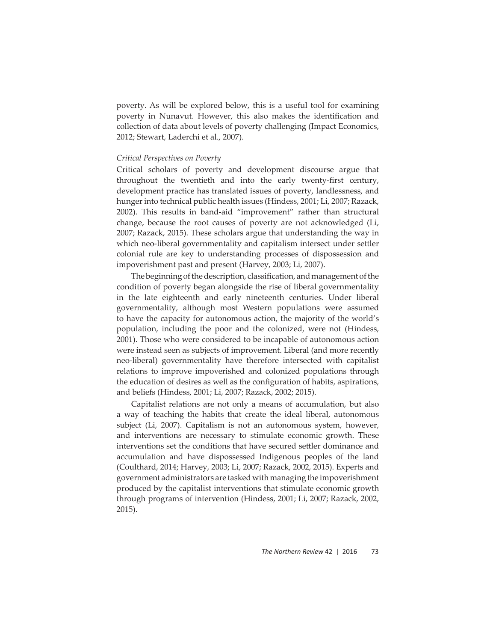poverty. As will be explored below, this is a useful tool for examining poverty in Nunavut. However, this also makes the identification and collection of data about levels of poverty challenging (Impact Economics, 2012; Stewart, Laderchi et al., 2007).

## *Critical Perspectives on Poverty*

Critical scholars of poverty and development discourse argue that throughout the twentieth and into the early twenty-first century, development practice has translated issues of poverty, landlessness, and hunger into technical public health issues (Hindess, 2001; Li, 2007; Razack, 2002). This results in band-aid "improvement" rather than structural change, because the root causes of poverty are not acknowledged (Li, 2007; Razack, 2015). These scholars argue that understanding the way in which neo-liberal governmentality and capitalism intersect under settler colonial rule are key to understanding processes of dispossession and impoverishment past and present (Harvey, 2003; Li, 2007).

The beginning of the description, classification, and management of the condition of poverty began alongside the rise of liberal governmentality in the late eighteenth and early nineteenth centuries. Under liberal governmentality, although most Western populations were assumed to have the capacity for autonomous action, the majority of the world's population, including the poor and the colonized, were not (Hindess, 2001). Those who were considered to be incapable of autonomous action were instead seen as subjects of improvement. Liberal (and more recently neo-liberal) governmentality have therefore intersected with capitalist relations to improve impoverished and colonized populations through the education of desires as well as the configuration of habits, aspirations, and beliefs (Hindess, 2001; Li, 2007; Razack, 2002; 2015).

Capitalist relations are not only a means of accumulation, but also a way of teaching the habits that create the ideal liberal, autonomous subject (Li, 2007). Capitalism is not an autonomous system, however, and interventions are necessary to stimulate economic growth. These interventions set the conditions that have secured settler dominance and accumulation and have dispossessed Indigenous peoples of the land (Coulthard, 2014; Harvey, 2003; Li, 2007; Razack, 2002, 2015). Experts and government administrators are tasked with managing the impoverishment produced by the capitalist interventions that stimulate economic growth through programs of intervention (Hindess, 2001; Li, 2007; Razack, 2002, 2015).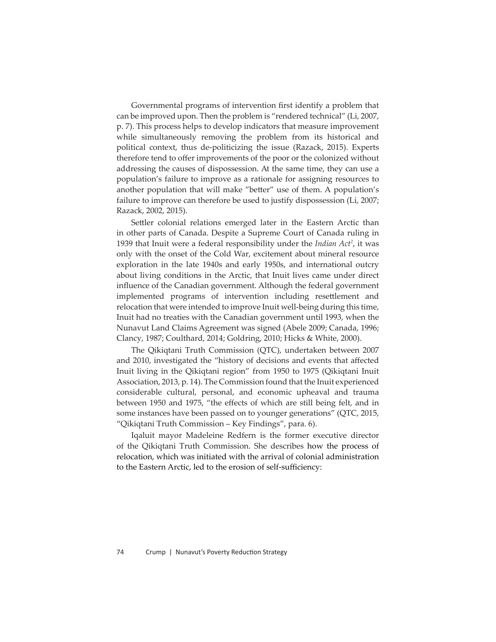Governmental programs of intervention first identify a problem that can be improved upon. Then the problem is "rendered technical" (Li, 2007, p. 7). This process helps to develop indicators that measure improvement while simultaneously removing the problem from its historical and political context, thus de-politicizing the issue (Razack, 2015). Experts therefore tend to offer improvements of the poor or the colonized without addressing the causes of dispossession. At the same time, they can use a population's failure to improve as a rationale for assigning resources to another population that will make "better" use of them. A population's failure to improve can therefore be used to justify dispossession (Li, 2007; Razack, 2002, 2015).

Settler colonial relations emerged later in the Eastern Arctic than in other parts of Canada. Despite a Supreme Court of Canada ruling in 1939 that Inuit were a federal responsibility under the *Indian Act2* , it was only with the onset of the Cold War, excitement about mineral resource exploration in the late 1940s and early 1950s, and international outcry about living conditions in the Arctic, that Inuit lives came under direct influence of the Canadian government. Although the federal government implemented programs of intervention including resettlement and relocation that were intended to improve Inuit well-being during this time, Inuit had no treaties with the Canadian government until 1993, when the Nunavut Land Claims Agreement was signed (Abele 2009; Canada, 1996; Clancy, 1987; Coulthard, 2014; Goldring, 2010; Hicks & White, 2000).

The Qikiqtani Truth Commission (QTC), undertaken between 2007 and 2010, investigated the "history of decisions and events that affected Inuit living in the Qikiqtani region" from 1950 to 1975 (Qikiqtani Inuit Association, 2013, p. 14). The Commission found that the Inuit experienced considerable cultural, personal, and economic upheaval and trauma between 1950 and 1975, "the effects of which are still being felt, and in some instances have been passed on to younger generations" (QTC, 2015, "Qikiqtani Truth Commission – Key Findings", para. 6).

Iqaluit mayor Madeleine Redfern is the former executive director of the Qikiqtani Truth Commission. She describes how the process of relocation, which was initiated with the arrival of colonial administration to the Eastern Arctic, led to the erosion of self-sufficiency: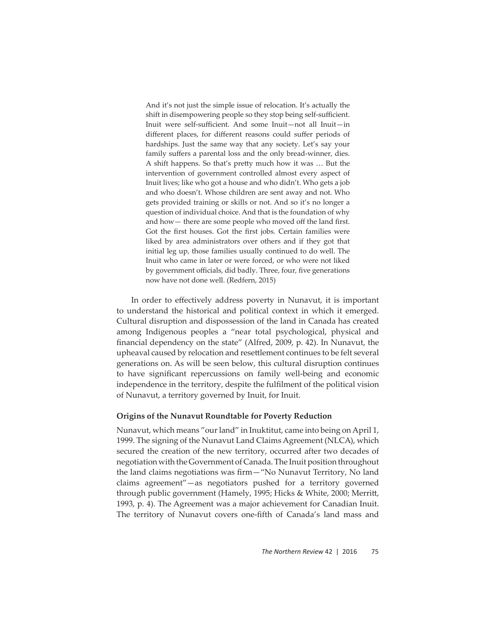And it's not just the simple issue of relocation. It's actually the shift in disempowering people so they stop being self-sufficient. Inuit were self-sufficient. And some Inuit-not all Inuit-in different places, for different reasons could suffer periods of hardships. Just the same way that any society. Let's say your family suffers a parental loss and the only bread-winner, dies. A shift happens. So that's pretty much how it was ... But the intervention of government controlled almost every aspect of Inuit lives; like who got a house and who didn't. Who gets a job and who doesn't. Whose children are sent away and not. Who gets provided training or skills or not. And so it's no longer a question of individual choice. And that is the foundation of why and how  $-$  there are some people who moved off the land first. Got the first houses. Got the first jobs. Certain families were liked by area administrators over others and if they got that initial leg up, those families usually continued to do well. The Inuit who came in later or were forced, or who were not liked by government officials, did badly. Three, four, five generations now have not done well. (Redfern, 2015)

In order to effectively address poverty in Nunavut, it is important to understand the historical and political context in which it emerged. Cultural disruption and dispossession of the land in Canada has created among Indigenous peoples a "near total psychological, physical and financial dependency on the state" (Alfred, 2009, p. 42). In Nunavut, the upheaval caused by relocation and resettlement continues to be felt several generations on. As will be seen below, this cultural disruption continues to have significant repercussions on family well-being and economic independence in the territory, despite the fulfilment of the political vision of Nunavut, a territory governed by Inuit, for Inuit.

#### **Origins of the Nunavut Roundtable for Poverty Reduction**

Nunavut, which means "our land" in Inuktitut, came into being on April 1, 1999. The signing of the Nunavut Land Claims Agreement (NLCA), which secured the creation of the new territory, occurred after two decades of negotiation with the Government of Canada. The Inuit position throughout the land claims negotiations was firm-"No Nunavut Territory, No land claims agreement"—as negotiators pushed for a territory governed through public government (Hamely, 1995; Hicks & White, 2000; Merritt, 1993, p. 4). The Agreement was a major achievement for Canadian Inuit. The territory of Nunavut covers one-fifth of Canada's land mass and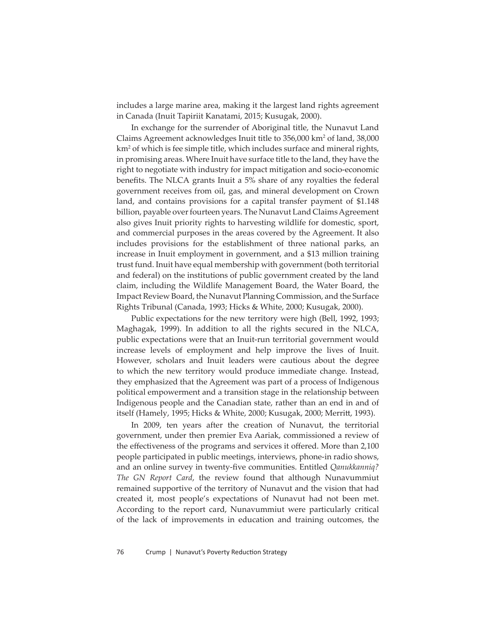includes a large marine area, making it the largest land rights agreement in Canada (Inuit Tapiriit Kanatami, 2015; Kusugak, 2000).

In exchange for the surrender of Aboriginal title, the Nunavut Land Claims Agreement acknowledges Inuit title to 356,000 km² of land, 38,000 km2 of which is fee simple title, which includes surface and mineral rights, in promising areas. Where Inuit have surface title to the land, they have the right to negotiate with industry for impact mitigation and socio-economic benefits. The NLCA grants Inuit a 5% share of any royalties the federal government receives from oil, gas, and mineral development on Crown land, and contains provisions for a capital transfer payment of \$1.148 billion, payable over fourteen years. The Nunavut Land Claims Agreement also gives Inuit priority rights to harvesting wildlife for domestic, sport, and commercial purposes in the areas covered by the Agreement. It also includes provisions for the establishment of three national parks, an increase in Inuit employment in government, and a \$13 million training trust fund. Inuit have equal membership with government (both territorial and federal) on the institutions of public government created by the land claim, including the Wildlife Management Board, the Water Board, the Impact Review Board, the Nunavut Planning Commission, and the Surface Rights Tribunal (Canada, 1993; Hicks & White, 2000; Kusugak, 2000).

Public expectations for the new territory were high (Bell, 1992, 1993; Maghagak, 1999). In addition to all the rights secured in the NLCA, public expectations were that an Inuit-run territorial government would increase levels of employment and help improve the lives of Inuit. However, scholars and Inuit leaders were cautious about the degree to which the new territory would produce immediate change. Instead, they emphasized that the Agreement was part of a process of Indigenous political empowerment and a transition stage in the relationship between Indigenous people and the Canadian state, rather than an end in and of itself (Hamely, 1995; Hicks & White, 2000; Kusugak, 2000; Merritt, 1993).

In 2009, ten years after the creation of Nunavut, the territorial government, under then premier Eva Aariak, commissioned a review of the effectiveness of the programs and services it offered. More than 2,100 people participated in public meetings, interviews, phone-in radio shows, and an online survey in twenty-fi ve communities. Entitled *Qanukkanniq? The GN Report Card*, the review found that although Nunavummiut remained supportive of the territory of Nunavut and the vision that had created it, most people's expectations of Nunavut had not been met. According to the report card, Nunavummiut were particularly critical of the lack of improvements in education and training outcomes, the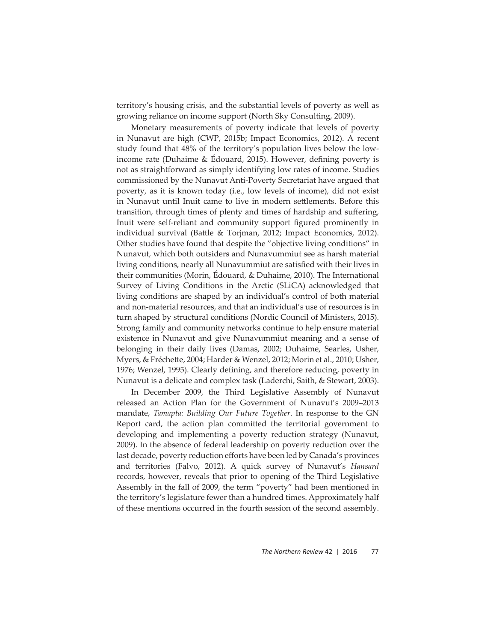territory's housing crisis, and the substantial levels of poverty as well as growing reliance on income support (North Sky Consulting, 2009).

Monetary measurements of poverty indicate that levels of poverty in Nunavut are high (CWP, 2015b; Impact Economics, 2012). A recent study found that 48% of the territory's population lives below the lowincome rate (Duhaime  $&$  Édouard, 2015). However, defining poverty is not as straightforward as simply identifying low rates of income. Studies commissioned by the Nunavut Anti-Poverty Secretariat have argued that poverty, as it is known today (i.e., low levels of income), did not exist in Nunavut until Inuit came to live in modern settlements. Before this transition, through times of plenty and times of hardship and suffering, Inuit were self-reliant and community support figured prominently in individual survival (Battle & Torjman, 2012; Impact Economics, 2012). Other studies have found that despite the "objective living conditions" in Nunavut, which both outsiders and Nunavummiut see as harsh material living conditions, nearly all Nunavummiut are satisfied with their lives in their communities (Morin, Édouard, & Duhaime, 2010). The International Survey of Living Conditions in the Arctic (SLiCA) acknowledged that living conditions are shaped by an individual's control of both material and non-material resources, and that an individual's use of resources is in turn shaped by structural conditions (Nordic Council of Ministers, 2015). Strong family and community networks continue to help ensure material existence in Nunavut and give Nunavummiut meaning and a sense of belonging in their daily lives (Damas, 2002; Duhaime, Searles, Usher, Myers, & Fréchette, 2004; Harder & Wenzel, 2012; Morin et al., 2010; Usher, 1976; Wenzel, 1995). Clearly defining, and therefore reducing, poverty in Nunavut is a delicate and complex task (Laderchi, Saith, & Stewart, 2003).

In December 2009, the Third Legislative Assembly of Nunavut released an Action Plan for the Government of Nunavut's 2009–2013 mandate, *Tamapta: Building Our Future Together*. In response to the GN Report card, the action plan committed the territorial government to developing and implementing a poverty reduction strategy (Nunavut, 2009). In the absence of federal leadership on poverty reduction over the last decade, poverty reduction efforts have been led by Canada's provinces and territories (Falvo, 2012). A quick survey of Nunavut's *Hansard* records, however, reveals that prior to opening of the Third Legislative Assembly in the fall of 2009, the term "poverty" had been mentioned in the territory's legislature fewer than a hundred times. Approximately half of these mentions occurred in the fourth session of the second assembly.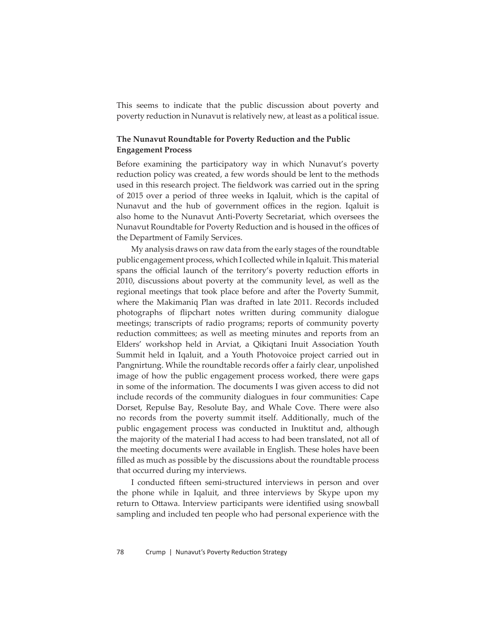This seems to indicate that the public discussion about poverty and poverty reduction in Nunavut is relatively new, at least as a political issue.

# **The Nunavut Roundtable for Poverty Reduction and the Public Engagement Process**

Before examining the participatory way in which Nunavut's poverty reduction policy was created, a few words should be lent to the methods used in this research project. The fieldwork was carried out in the spring of 2015 over a period of three weeks in Iqaluit, which is the capital of Nunavut and the hub of government offices in the region. Iqaluit is also home to the Nunavut Anti-Poverty Secretariat, which oversees the Nunavut Roundtable for Poverty Reduction and is housed in the offices of the Department of Family Services.

My analysis draws on raw data from the early stages of the roundtable public engagement process, which I collected while in Iqaluit. This material spans the official launch of the territory's poverty reduction efforts in 2010, discussions about poverty at the community level, as well as the regional meetings that took place before and after the Poverty Summit, where the Makimaniq Plan was drafted in late 2011. Records included photographs of flipchart notes written during community dialogue meetings; transcripts of radio programs; reports of community poverty reduction committees; as well as meeting minutes and reports from an Elders' workshop held in Arviat, a Qikiqtani Inuit Association Youth Summit held in Iqaluit, and a Youth Photovoice project carried out in Pangnirtung. While the roundtable records offer a fairly clear, unpolished image of how the public engagement process worked, there were gaps in some of the information. The documents I was given access to did not include records of the community dialogues in four communities: Cape Dorset, Repulse Bay, Resolute Bay, and Whale Cove. There were also no records from the poverty summit itself. Additionally, much of the public engagement process was conducted in Inuktitut and, although the majority of the material I had access to had been translated, not all of the meeting documents were available in English. These holes have been filled as much as possible by the discussions about the roundtable process that occurred during my interviews.

I conducted fifteen semi-structured interviews in person and over the phone while in Iqaluit, and three interviews by Skype upon my return to Ottawa. Interview participants were identified using snowball sampling and included ten people who had personal experience with the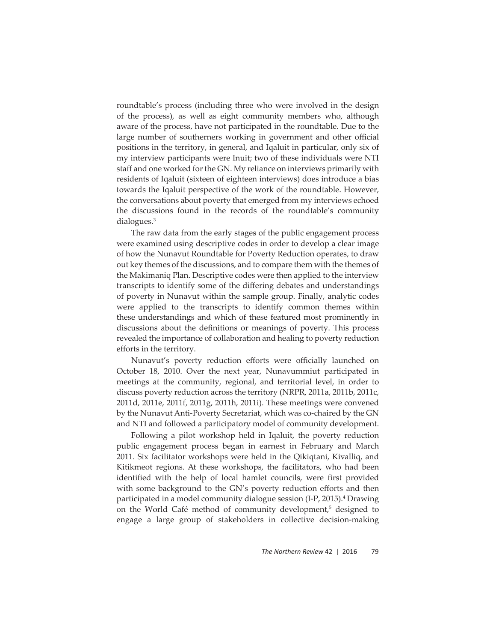roundtable's process (including three who were involved in the design of the process), as well as eight community members who, although aware of the process, have not participated in the roundtable. Due to the large number of southerners working in government and other official positions in the territory, in general, and Iqaluit in particular, only six of my interview participants were Inuit; two of these individuals were NTI staff and one worked for the GN. My reliance on interviews primarily with residents of Iqaluit (sixteen of eighteen interviews) does introduce a bias towards the Iqaluit perspective of the work of the roundtable. However, the conversations about poverty that emerged from my interviews echoed the discussions found in the records of the roundtable's community dialogues.3

The raw data from the early stages of the public engagement process were examined using descriptive codes in order to develop a clear image of how the Nunavut Roundtable for Poverty Reduction operates, to draw out key themes of the discussions, and to compare them with the themes of the Makimaniq Plan. Descriptive codes were then applied to the interview transcripts to identify some of the differing debates and understandings of poverty in Nunavut within the sample group. Finally, analytic codes were applied to the transcripts to identify common themes within these understandings and which of these featured most prominently in discussions about the definitions or meanings of poverty. This process revealed the importance of collaboration and healing to poverty reduction efforts in the territory.

Nunavut's poverty reduction efforts were officially launched on October 18, 2010. Over the next year, Nunavummiut participated in meetings at the community, regional, and territorial level, in order to discuss poverty reduction across the territory (NRPR, 2011a, 2011b, 2011c, 2011d, 2011e, 2011f, 2011g, 2011h, 2011i). These meetings were convened by the Nunavut Anti-Poverty Secretariat, which was co-chaired by the GN and NTI and followed a participatory model of community development.

Following a pilot workshop held in Iqaluit, the poverty reduction public engagement process began in earnest in February and March 2011. Six facilitator workshops were held in the Qikiqtani, Kivalliq, and Kitikmeot regions. At these workshops, the facilitators, who had been identified with the help of local hamlet councils, were first provided with some background to the GN's poverty reduction efforts and then participated in a model community dialogue session (I-P, 2015).<sup>4</sup> Drawing on the World Café method of community development,<sup>5</sup> designed to engage a large group of stakeholders in collective decision-making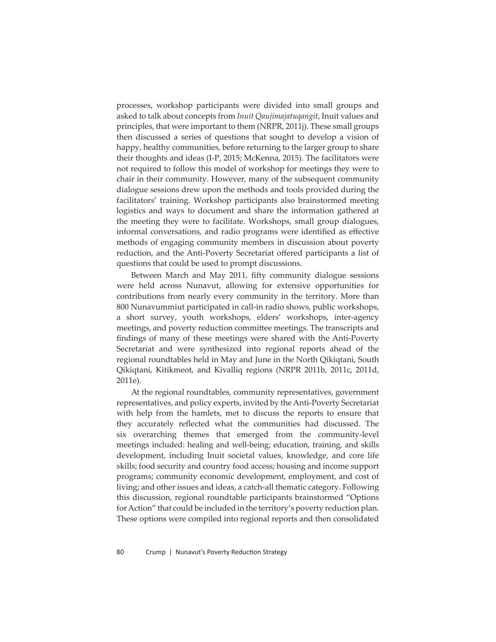processes, workshop participants were divided into small groups and asked to talk about concepts from *Inuit Qaujimajatuqangit*, Inuit values and principles, that were important to them (NRPR, 2011j). These small groups then discussed a series of questions that sought to develop a vision of happy, healthy communities, before returning to the larger group to share their thoughts and ideas (I-P, 2015; McKenna, 2015). The facilitators were not required to follow this model of workshop for meetings they were to chair in their community. However, many of the subsequent community dialogue sessions drew upon the methods and tools provided during the facilitators' training. Workshop participants also brainstormed meeting logistics and ways to document and share the information gathered at the meeting they were to facilitate. Workshops, small group dialogues, informal conversations, and radio programs were identified as effective methods of engaging community members in discussion about poverty reduction, and the Anti-Poverty Secretariat offered participants a list of questions that could be used to prompt discussions.

Between March and May 2011, fifty community dialogue sessions were held across Nunavut, allowing for extensive opportunities for contributions from nearly every community in the territory. More than 800 Nunavummiut participated in call-in radio shows, public workshops, a short survey, youth workshops, elders' workshops, inter-agency meetings, and poverty reduction committee meetings. The transcripts and findings of many of these meetings were shared with the Anti-Poverty Secretariat and were synthesized into regional reports ahead of the regional roundtables held in May and June in the North Qikiqtani, South Qikiqtani, Kitikmeot, and Kivalliq regions (NRPR 2011b, 2011c, 2011d, 2011e).

At the regional roundtables, community representatives, government representatives, and policy experts, invited by the Anti-Poverty Secretariat with help from the hamlets, met to discuss the reports to ensure that they accurately reflected what the communities had discussed. The six overarching themes that emerged from the community-level meetings included: healing and well-being; education, training, and skills development, including Inuit societal values, knowledge, and core life skills; food security and country food access; housing and income support programs; community economic development, employment, and cost of living; and other issues and ideas, a catch-all thematic category. Following this discussion, regional roundtable participants brainstormed "Options for Action" that could be included in the territory's poverty reduction plan. These options were compiled into regional reports and then consolidated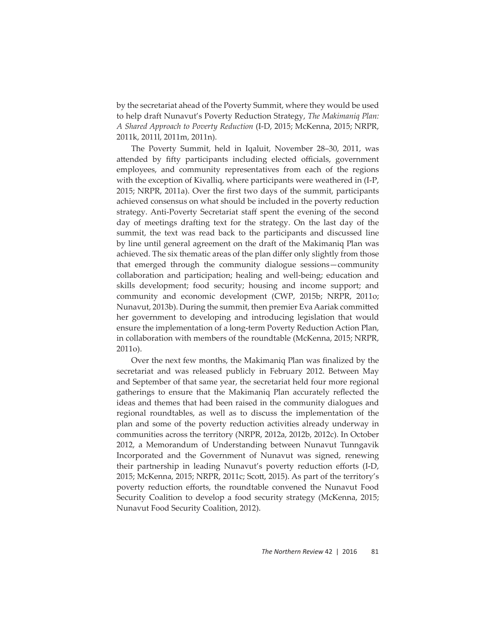by the secretariat ahead of the Poverty Summit, where they would be used to help draft Nunavut's Poverty Reduction Strategy, *The Makimaniq Plan: A Shared Approach to Poverty Reduction* (I-D, 2015; McKenna, 2015; NRPR, 2011k, 2011l, 2011m, 2011n).

The Poverty Summit, held in Iqaluit, November 28–30, 2011, was attended by fifty participants including elected officials, government employees, and community representatives from each of the regions with the exception of Kivalliq, where participants were weathered in (I-P, 2015; NRPR, 2011a). Over the first two days of the summit, participants achieved consensus on what should be included in the poverty reduction strategy. Anti-Poverty Secretariat staff spent the evening of the second day of meetings drafting text for the strategy. On the last day of the summit, the text was read back to the participants and discussed line by line until general agreement on the draft of the Makimaniq Plan was achieved. The six thematic areas of the plan differ only slightly from those that emerged through the community dialogue sessions—community collaboration and participation; healing and well-being; education and skills development; food security; housing and income support; and community and economic development (CWP, 2015b; NRPR, 2011o; Nunavut, 2013b). During the summit, then premier Eva Aariak committed her government to developing and introducing legislation that would ensure the implementation of a long-term Poverty Reduction Action Plan, in collaboration with members of the roundtable (McKenna, 2015; NRPR, 2011o).

Over the next few months, the Makimaniq Plan was finalized by the secretariat and was released publicly in February 2012. Between May and September of that same year, the secretariat held four more regional gatherings to ensure that the Makimaniq Plan accurately reflected the ideas and themes that had been raised in the community dialogues and regional roundtables, as well as to discuss the implementation of the plan and some of the poverty reduction activities already underway in communities across the territory (NRPR, 2012a, 2012b, 2012c). In October 2012, a Memorandum of Understanding between Nunavut Tunngavik Incorporated and the Government of Nunavut was signed, renewing their partnership in leading Nunavut's poverty reduction efforts (I-D, 2015; McKenna, 2015; NRPR, 2011c; Scott, 2015). As part of the territory's poverty reduction efforts, the roundtable convened the Nunavut Food Security Coalition to develop a food security strategy (McKenna, 2015; Nunavut Food Security Coalition, 2012).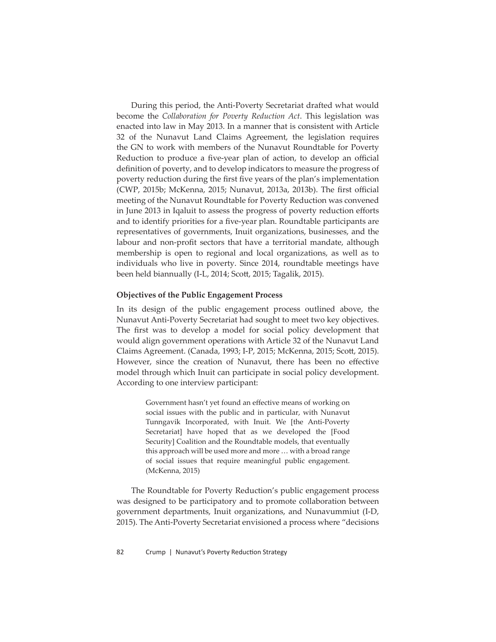During this period, the Anti-Poverty Secretariat drafted what would become the *Collaboration for Poverty Reduction Act*. This legislation was enacted into law in May 2013. In a manner that is consistent with Article 32 of the Nunavut Land Claims Agreement, the legislation requires the GN to work with members of the Nunavut Roundtable for Poverty Reduction to produce a five-year plan of action, to develop an official definition of poverty, and to develop indicators to measure the progress of poverty reduction during the first five years of the plan's implementation (CWP, 2015b; McKenna, 2015; Nunavut, 2013a, 2013b). The first official meeting of the Nunavut Roundtable for Poverty Reduction was convened in June 2013 in Iqaluit to assess the progress of poverty reduction efforts and to identify priorities for a five-year plan. Roundtable participants are representatives of governments, Inuit organizations, businesses, and the labour and non-profit sectors that have a territorial mandate, although membership is open to regional and local organizations, as well as to individuals who live in poverty. Since 2014, roundtable meetings have been held biannually (I-L, 2014; Scott, 2015; Tagalik, 2015).

### **Objectives of the Public Engagement Process**

In its design of the public engagement process outlined above, the Nunavut Anti-Poverty Secretariat had sought to meet two key objectives. The first was to develop a model for social policy development that would align government operations with Article 32 of the Nunavut Land Claims Agreement. (Canada, 1993; I-P, 2015; McKenna, 2015; Scott, 2015). However, since the creation of Nunavut, there has been no effective model through which Inuit can participate in social policy development. According to one interview participant:

> Government hasn't yet found an effective means of working on social issues with the public and in particular, with Nunavut Tunngavik Incorporated, with Inuit. We [the Anti-Poverty Secretariat] have hoped that as we developed the [Food Security] Coalition and the Roundtable models, that eventually this approach will be used more and more … with a broad range of social issues that require meaningful public engagement. (McKenna, 2015)

The Roundtable for Poverty Reduction's public engagement process was designed to be participatory and to promote collaboration between government departments, Inuit organizations, and Nunavummiut (I-D, 2015). The Anti-Poverty Secretariat envisioned a process where "decisions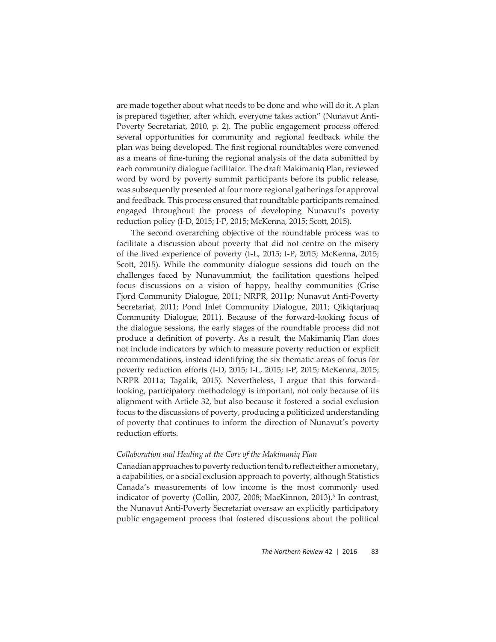are made together about what needs to be done and who will do it. A plan is prepared together, after which, everyone takes action" (Nunavut Anti-Poverty Secretariat, 2010, p. 2). The public engagement process offered several opportunities for community and regional feedback while the plan was being developed. The first regional roundtables were convened as a means of fine-tuning the regional analysis of the data submitted by each community dialogue facilitator. The draft Makimaniq Plan, reviewed word by word by poverty summit participants before its public release, was subsequently presented at four more regional gatherings for approval and feedback. This process ensured that roundtable participants remained engaged throughout the process of developing Nunavut's poverty reduction policy (I-D, 2015; I-P, 2015; McKenna, 2015; Scott, 2015).

The second overarching objective of the roundtable process was to facilitate a discussion about poverty that did not centre on the misery of the lived experience of poverty (I-L, 2015; I-P, 2015; McKenna, 2015; Scott, 2015). While the community dialogue sessions did touch on the challenges faced by Nunavummiut, the facilitation questions helped focus discussions on a vision of happy, healthy communities (Grise Fjord Community Dialogue, 2011; NRPR, 2011p; Nunavut Anti-Poverty Secretariat, 2011; Pond Inlet Community Dialogue, 2011; Qikiqtarjuaq Community Dialogue, 2011). Because of the forward-looking focus of the dialogue sessions, the early stages of the roundtable process did not produce a definition of poverty. As a result, the Makimaniq Plan does not include indicators by which to measure poverty reduction or explicit recommendations, instead identifying the six thematic areas of focus for poverty reduction efforts (I-D, 2015; I-L, 2015; I-P, 2015; McKenna, 2015; NRPR 2011a; Tagalik, 2015). Nevertheless, I argue that this forwardlooking, participatory methodology is important, not only because of its alignment with Article 32, but also because it fostered a social exclusion focus to the discussions of poverty, producing a politicized understanding of poverty that continues to inform the direction of Nunavut's poverty reduction efforts.

#### *Collaboration and Healing at the Core of the Makimaniq Plan*

Canadian approaches to poverty reduction tend to reflect either a monetary, a capabilities, or a social exclusion approach to poverty, although Statistics Canada's measurements of low income is the most commonly used indicator of poverty (Collin, 2007, 2008; MacKinnon, 2013).<sup>6</sup> In contrast, the Nunavut Anti-Poverty Secretariat oversaw an explicitly participatory public engagement process that fostered discussions about the political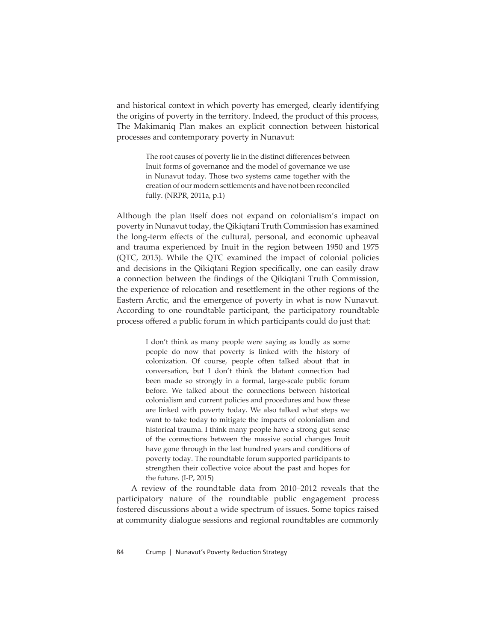and historical context in which poverty has emerged, clearly identifying the origins of poverty in the territory. Indeed, the product of this process, The Makimaniq Plan makes an explicit connection between historical processes and contemporary poverty in Nunavut:

> The root causes of poverty lie in the distinct differences between Inuit forms of governance and the model of governance we use in Nunavut today. Those two systems came together with the creation of our modern settlements and have not been reconciled fully. (NRPR, 2011a, p.1)

Although the plan itself does not expand on colonialism's impact on poverty in Nunavut today, the Qikiqtani Truth Commission has examined the long-term effects of the cultural, personal, and economic upheaval and trauma experienced by Inuit in the region between 1950 and 1975 (QTC, 2015). While the QTC examined the impact of colonial policies and decisions in the Qikiqtani Region specifically, one can easily draw a connection between the findings of the Qikiqtani Truth Commission, the experience of relocation and resettlement in the other regions of the Eastern Arctic, and the emergence of poverty in what is now Nunavut. According to one roundtable participant, the participatory roundtable process offered a public forum in which participants could do just that:

> I don't think as many people were saying as loudly as some people do now that poverty is linked with the history of colonization. Of course, people often talked about that in conversation, but I don't think the blatant connection had been made so strongly in a formal, large-scale public forum before. We talked about the connections between historical colonialism and current policies and procedures and how these are linked with poverty today. We also talked what steps we want to take today to mitigate the impacts of colonialism and historical trauma. I think many people have a strong gut sense of the connections between the massive social changes Inuit have gone through in the last hundred years and conditions of poverty today. The roundtable forum supported participants to strengthen their collective voice about the past and hopes for the future. (I-P, 2015)

A review of the roundtable data from 2010–2012 reveals that the participatory nature of the roundtable public engagement process fostered discussions about a wide spectrum of issues. Some topics raised at community dialogue sessions and regional roundtables are commonly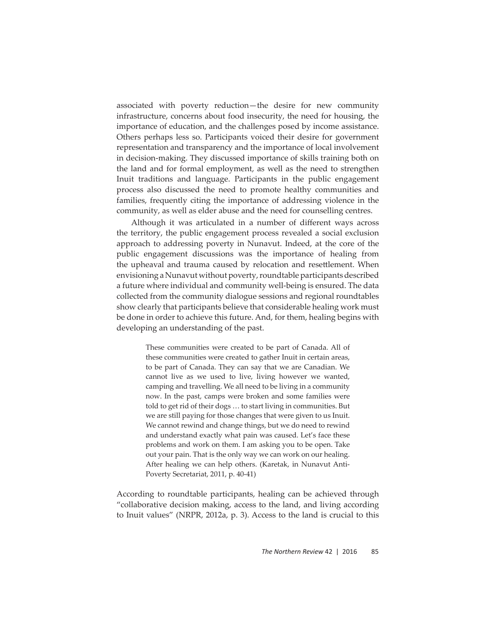associated with poverty reduction—the desire for new community infrastructure, concerns about food insecurity, the need for housing, the importance of education, and the challenges posed by income assistance. Others perhaps less so. Participants voiced their desire for government representation and transparency and the importance of local involvement in decision-making. They discussed importance of skills training both on the land and for formal employment, as well as the need to strengthen Inuit traditions and language. Participants in the public engagement process also discussed the need to promote healthy communities and families, frequently citing the importance of addressing violence in the community, as well as elder abuse and the need for counselling centres.

Although it was articulated in a number of different ways across the territory, the public engagement process revealed a social exclusion approach to addressing poverty in Nunavut. Indeed, at the core of the public engagement discussions was the importance of healing from the upheaval and trauma caused by relocation and resettlement. When envisioning a Nunavut without poverty, roundtable participants described a future where individual and community well-being is ensured. The data collected from the community dialogue sessions and regional roundtables show clearly that participants believe that considerable healing work must be done in order to achieve this future. And, for them, healing begins with developing an understanding of the past.

> These communities were created to be part of Canada. All of these communities were created to gather Inuit in certain areas, to be part of Canada. They can say that we are Canadian. We cannot live as we used to live, living however we wanted, camping and travelling. We all need to be living in a community now. In the past, camps were broken and some families were told to get rid of their dogs … to start living in communities. But we are still paying for those changes that were given to us Inuit. We cannot rewind and change things, but we do need to rewind and understand exactly what pain was caused. Let's face these problems and work on them. I am asking you to be open. Take out your pain. That is the only way we can work on our healing. After healing we can help others. (Karetak, in Nunavut Anti-Poverty Secretariat, 2011, p. 40-41)

According to roundtable participants, healing can be achieved through "collaborative decision making, access to the land, and living according to Inuit values" (NRPR, 2012a, p. 3). Access to the land is crucial to this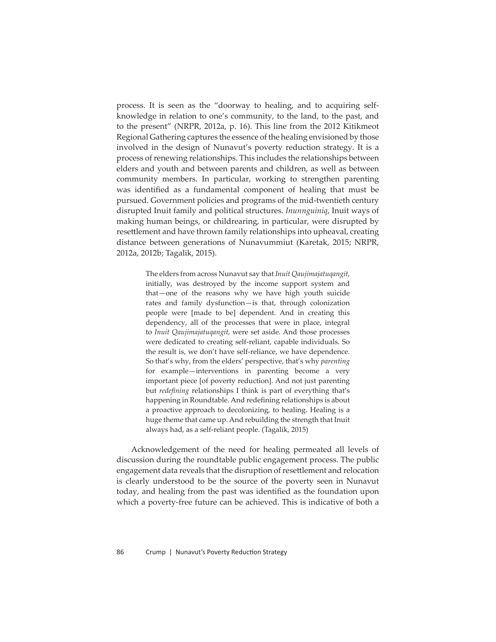process. It is seen as the "doorway to healing, and to acquiring selfknowledge in relation to one's community, to the land, to the past, and to the present" (NRPR, 2012a, p. 16). This line from the 2012 Kitikmeot Regional Gathering captures the essence of the healing envisioned by those involved in the design of Nunavut's poverty reduction strategy. It is a process of renewing relationships. This includes the relationships between elders and youth and between parents and children, as well as between community members. In particular, working to strengthen parenting was identified as a fundamental component of healing that must be pursued. Government policies and programs of the mid-twentieth century disrupted Inuit family and political structures. *Inunnguiniq*, Inuit ways of making human beings, or childrearing, in particular, were disrupted by resettlement and have thrown family relationships into upheaval, creating distance between generations of Nunavummiut (Karetak, 2015; NRPR, 2012a, 2012b; Tagalik, 2015).

> The elders from across Nunavut say that *Inuit Qaujimajatuqangit*, initially, was destroyed by the income support system and that—one of the reasons why we have high youth suicide rates and family dysfunction—is that, through colonization people were [made to be] dependent. And in creating this dependency, all of the processes that were in place, integral to *Inuit Qaujimajatuqangit*, were set aside. And those processes were dedicated to creating self-reliant, capable individuals. So the result is, we don't have self-reliance, we have dependence. So that's why, from the elders' perspective, that's why *parenting* for example—interventions in parenting become a very important piece [of poverty reduction]. And not just parenting but *redefining* relationships I think is part of everything that's happening in Roundtable. And redefining relationships is about a proactive approach to decolonizing, to healing. Healing is a huge theme that came up. And rebuilding the strength that Inuit always had, as a self-reliant people. (Tagalik, 2015)

Acknowledgement of the need for healing permeated all levels of discussion during the roundtable public engagement process. The public engagement data reveals that the disruption of resettlement and relocation is clearly understood to be the source of the poverty seen in Nunavut today, and healing from the past was identified as the foundation upon which a poverty-free future can be achieved. This is indicative of both a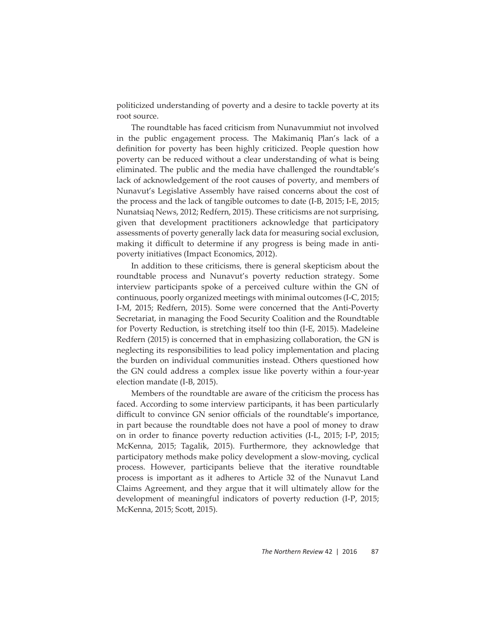politicized understanding of poverty and a desire to tackle poverty at its root source.

The roundtable has faced criticism from Nunavummiut not involved in the public engagement process. The Makimaniq Plan's lack of a definition for poverty has been highly criticized. People question how poverty can be reduced without a clear understanding of what is being eliminated. The public and the media have challenged the roundtable's lack of acknowledgement of the root causes of poverty, and members of Nunavut's Legislative Assembly have raised concerns about the cost of the process and the lack of tangible outcomes to date (I-B, 2015; I-E, 2015; Nunatsiaq News, 2012; Redfern, 2015). These criticisms are not surprising, given that development practitioners acknowledge that participatory assessments of poverty generally lack data for measuring social exclusion, making it difficult to determine if any progress is being made in antipoverty initiatives (Impact Economics, 2012).

In addition to these criticisms, there is general skepticism about the roundtable process and Nunavut's poverty reduction strategy. Some interview participants spoke of a perceived culture within the GN of continuous, poorly organized meetings with minimal outcomes (I-C, 2015; I-M, 2015; Redfern, 2015). Some were concerned that the Anti-Poverty Secretariat, in managing the Food Security Coalition and the Roundtable for Poverty Reduction, is stretching itself too thin (I-E, 2015). Madeleine Redfern (2015) is concerned that in emphasizing collaboration, the GN is neglecting its responsibilities to lead policy implementation and placing the burden on individual communities instead. Others questioned how the GN could address a complex issue like poverty within a four-year election mandate (I-B, 2015).

Members of the roundtable are aware of the criticism the process has faced. According to some interview participants, it has been particularly difficult to convince GN senior officials of the roundtable's importance, in part because the roundtable does not have a pool of money to draw on in order to finance poverty reduction activities (I-L, 2015; I-P, 2015; McKenna, 2015; Tagalik, 2015). Furthermore, they acknowledge that participatory methods make policy development a slow-moving, cyclical process. However, participants believe that the iterative roundtable process is important as it adheres to Article 32 of the Nunavut Land Claims Agreement, and they argue that it will ultimately allow for the development of meaningful indicators of poverty reduction (I-P, 2015; McKenna, 2015; Scott, 2015).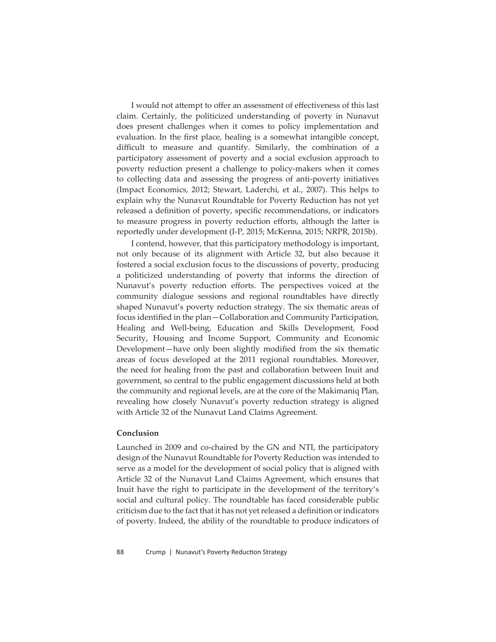I would not attempt to offer an assessment of effectiveness of this last claim. Certainly, the politicized understanding of poverty in Nunavut does present challenges when it comes to policy implementation and evaluation. In the first place, healing is a somewhat intangible concept, difficult to measure and quantify. Similarly, the combination of a participatory assessment of poverty and a social exclusion approach to poverty reduction present a challenge to policy-makers when it comes to collecting data and assessing the progress of anti-poverty initiatives (Impact Economics, 2012; Stewart, Laderchi, et al., 2007). This helps to explain why the Nunavut Roundtable for Poverty Reduction has not yet released a definition of poverty, specific recommendations, or indicators to measure progress in poverty reduction efforts, although the latter is reportedly under development (I-P, 2015; McKenna, 2015; NRPR, 2015b).

I contend, however, that this participatory methodology is important, not only because of its alignment with Article 32, but also because it fostered a social exclusion focus to the discussions of poverty, producing a politicized understanding of poverty that informs the direction of Nunavut's poverty reduction efforts. The perspectives voiced at the community dialogue sessions and regional roundtables have directly shaped Nunavut's poverty reduction strategy. The six thematic areas of focus identified in the plan—Collaboration and Community Participation, Healing and Well-being, Education and Skills Development, Food Security, Housing and Income Support, Community and Economic Development—have only been slightly modified from the six thematic areas of focus developed at the 2011 regional roundtables. Moreover, the need for healing from the past and collaboration between Inuit and government, so central to the public engagement discussions held at both the community and regional levels, are at the core of the Makimaniq Plan, revealing how closely Nunavut's poverty reduction strategy is aligned with Article 32 of the Nunavut Land Claims Agreement*.* 

### **Conclusion**

Launched in 2009 and co-chaired by the GN and NTI, the participatory design of the Nunavut Roundtable for Poverty Reduction was intended to serve as a model for the development of social policy that is aligned with Article 32 of the Nunavut Land Claims Agreement, which ensures that Inuit have the right to participate in the development of the territory's social and cultural policy. The roundtable has faced considerable public criticism due to the fact that it has not yet released a definition or indicators of poverty. Indeed, the ability of the roundtable to produce indicators of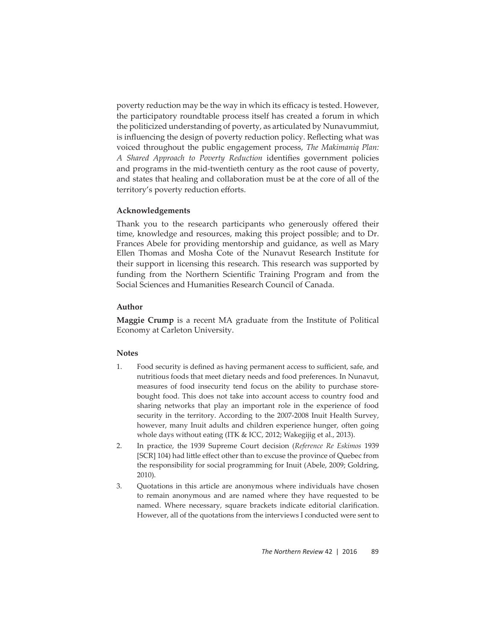poverty reduction may be the way in which its efficacy is tested. However, the participatory roundtable process itself has created a forum in which the politicized understanding of poverty, as articulated by Nunavummiut, is influencing the design of poverty reduction policy. Reflecting what was voiced throughout the public engagement process, *The Makimaniq Plan: A Shared Approach to Poverty Reduction* identifies government policies and programs in the mid-twentieth century as the root cause of poverty, and states that healing and collaboration must be at the core of all of the territory's poverty reduction efforts.

## **Acknowledgements**

Thank you to the research participants who generously offered their time, knowledge and resources, making this project possible; and to Dr. Frances Abele for providing mentorship and guidance, as well as Mary Ellen Thomas and Mosha Cote of the Nunavut Research Institute for their support in licensing this research. This research was supported by funding from the Northern Scientific Training Program and from the Social Sciences and Humanities Research Council of Canada.

# **Author**

**Maggie Crump** is a recent MA graduate from the Institute of Political Economy at Carleton University.

## **Notes**

- 1. Food security is defined as having permanent access to sufficient, safe, and nutritious foods that meet dietary needs and food preferences. In Nunavut, measures of food insecurity tend focus on the ability to purchase storebought food. This does not take into account access to country food and sharing networks that play an important role in the experience of food security in the territory. According to the 2007-2008 Inuit Health Survey, however, many Inuit adults and children experience hunger, often going whole days without eating (ITK & ICC, 2012; Wakegijig et al., 2013).
- 2. In practice, the 1939 Supreme Court decision (*Reference Re Eskimos* 1939 [SCR] 104) had little effect other than to excuse the province of Quebec from the responsibility for social programming for Inuit (Abele, 2009; Goldring, 2010).
- 3. Quotations in this article are anonymous where individuals have chosen to remain anonymous and are named where they have requested to be named. Where necessary, square brackets indicate editorial clarification. However, all of the quotations from the interviews I conducted were sent to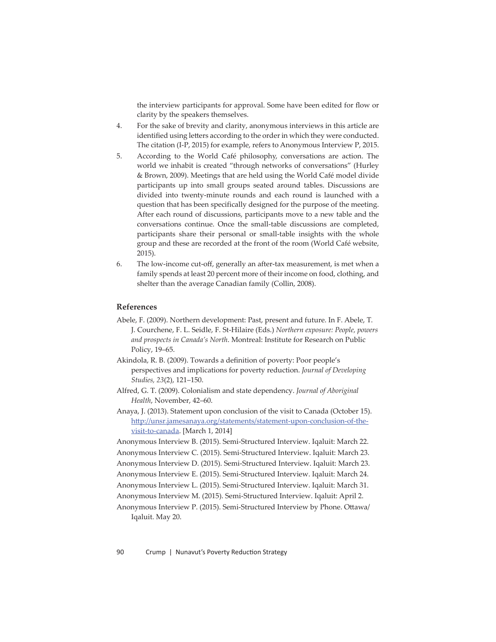the interview participants for approval. Some have been edited for flow or clarity by the speakers themselves.

- 4. For the sake of brevity and clarity, anonymous interviews in this article are identified using letters according to the order in which they were conducted. The citation (I-P, 2015) for example, refers to Anonymous Interview P, 2015.
- 5. According to the World Café philosophy, conversations are action. The world we inhabit is created "through networks of conversations" (Hurley & Brown, 2009). Meetings that are held using the World Café model divide participants up into small groups seated around tables. Discussions are divided into twenty-minute rounds and each round is launched with a question that has been specifically designed for the purpose of the meeting. After each round of discussions, participants move to a new table and the conversations continue. Once the small-table discussions are completed, participants share their personal or small-table insights with the whole group and these are recorded at the front of the room (World Café website, 2015).
- 6. The low-income cut-off , generally an after-tax measurement, is met when a family spends at least 20 percent more of their income on food, clothing, and shelter than the average Canadian family (Collin, 2008).

## **References**

- Abele, F. (2009). Northern development: Past, present and future. In F. Abele, T. J. Courchene, F. L. Seidle, F. St-Hilaire (Eds.) *Northern exposure: People, powers and prospects in Canada's North*. Montreal: Institute for Research on Public Policy, 19–65.
- Akindola, R. B. (2009). Towards a definition of poverty: Poor people's perspectives and implications for poverty reduction. *Journal of Developing Studies, 23*(2), 121–150.
- Alfred, G. T. (2009). Colonialism and state dependency. *Journal of Aboriginal Health*, November, 42–60.
- Anaya, J. (2013). Statement upon conclusion of the visit to Canada (October 15). http://unsr.jamesanaya.org/statements/statement-upon-conclusion-of-thevisit-to-canada. [March 1, 2014]
- Anonymous Interview B. (2015). Semi-Structured Interview. Iqaluit: March 22.
- Anonymous Interview C. (2015). Semi-Structured Interview. Iqaluit: March 23.
- Anonymous Interview D. (2015). Semi-Structured Interview. Iqaluit: March 23.
- Anonymous Interview E. (2015). Semi-Structured Interview. Iqaluit: March 24.
- Anonymous Interview L. (2015). Semi-Structured Interview. Iqaluit: March 31.
- Anonymous Interview M. (2015). Semi-Structured Interview. Iqaluit: April 2.

Anonymous Interview P. (2015). Semi-Structured Interview by Phone. Ottawa/ Iqaluit. May 20.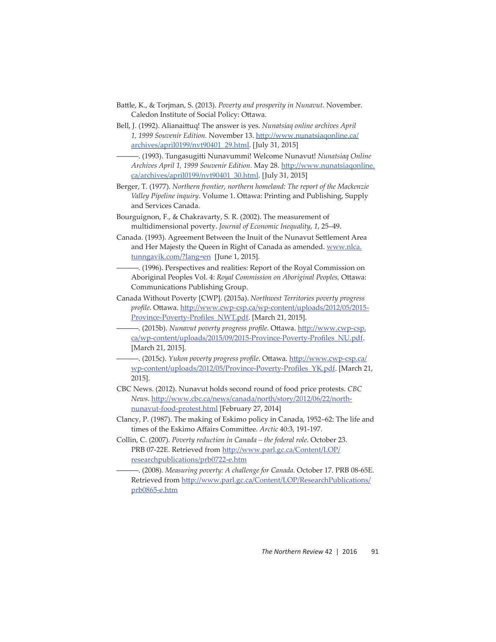- Batt le, K., & Torjman, S. (2013). *Poverty and prosperity in Nunavut*. November. Caledon Institute of Social Policy: Ottawa.
- Bell, J. (1992). Alianaittuq! The answer is yes. *Nunatsiaq online archives April* 1, 1999 Souvenir Edition. November 13. http://www.nunatsiagonline.ca/ archives/april0199/nvt90401\_29.html. [July 31, 2015]
- ———. (1993). Tungasugitt i Nunavummi! Welcome Nunavut! *Nunatsiaq Online Archives April 1, 1999 Souvenir Edition*. May 28. http://www.nunatsiagonline. ca/archives/april0199/nvt90401\_30.html. [July 31, 2015]
- Berger, T. (1977). *Northern frontier, northern homeland: The report of the Mackenzie Valley Pipeline inquiry*. Volume 1. Ottawa: Printing and Publishing, Supply and Services Canada.
- Bourguignon, F., & Chakravarty, S. R. (2002). The measurement of multidimensional poverty. *Journal of Economic Inequality*, *1*, 25–49.
- Canada. (1993). Agreement Between the Inuit of the Nunavut Settlement Area and Her Majesty the Queen in Right of Canada as amended. www.nlca. tunngavik.com/?lang=en [June 1, 2015].
	- ———. (1996). Perspectives and realities: Report of the Royal Commission on Aboriginal Peoples Vol. 4: *Royal Commission on Aboriginal Peoples*, Ottawa: Communications Publishing Group.
- Canada Without Poverty [CWP]. (2015a). *Northwest Territories poverty progress*  profile. Ottawa. http://www.cwp-csp.ca/wp-content/uploads/2012/05/2015-Province-Poverty-Profiles\_NWT.pdf. [March 21, 2015].
- (2015b). Nunavut poverty progress profile. Ottawa. http://www.cwp-csp. ca/wp-content/uploads/2015/09/2015-Province-Poverty-Profiles\_NU.pdf. [March 21, 2015].
- ———. (2015c). *Yukon poverty progress profi le*. Ott awa. htt p://www.cwp-csp.ca/ wp-content/uploads/2012/05/Province-Poverty-Profiles\_YK.pdf. [March 21, 2015].
- CBC News. (2012). Nunavut holds second round of food price protests. *CBC News*. htt p://www.cbc.ca/news/canada/north/story/2012/06/22/northnunavut-food-protest.html [February 27, 2014]
- Clancy, P. (1987). The making of Eskimo policy in Canada, 1952–62: The life and times of the Eskimo Affairs Committee. *Arctic* 40:3, 191-197.
- Collin, C. (2007). *Poverty reduction in Canada the federal role*. October 23. PRB 07-22E. Retrieved from http://www.parl.gc.ca/Content/LOP/ researchpublications/prb0722-e.htm
	- ———. (2008). *Measuring poverty: A challenge for Canada*. October 17. PRB 08-65E. Retrieved from http://www.parl.gc.ca/Content/LOP/ResearchPublications/ prb0865-e.htm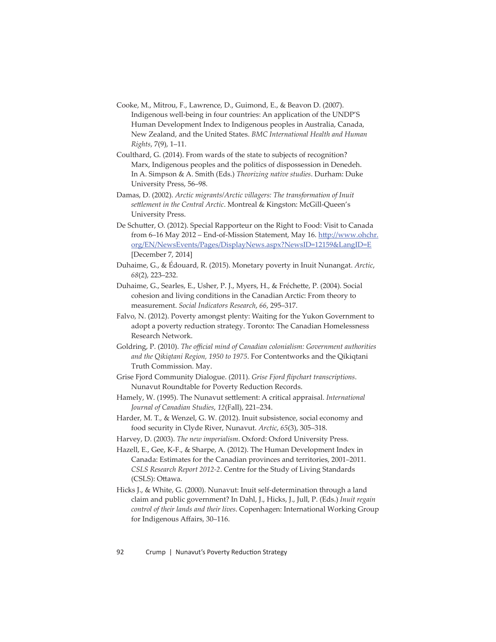- Cooke, M., Mitrou, F., Lawrence, D., Guimond, E., & Beavon D. (2007). Indigenous well-being in four countries: An application of the UNDP'S Human Development Index to Indigenous peoples in Australia, Canada, New Zealand, and the United States. *BMC International Health and Human Rights*, 7(9), 1–11.
- Coulthard, G. (2014). From wards of the state to subjects of recognition? Marx, Indigenous peoples and the politics of dispossession in Denedeh. In A. Simpson & A. Smith (Eds.) *Theorizing native studies*. Durham: Duke University Press, 56–98.
- Damas, D. (2002). *Arctic migrants/Arctic villagers: The transformation of Inuit sett lement in the Central Arctic*. Montreal & Kingston: McGill-Queen's University Press.
- De Schutter, O. (2012). Special Rapporteur on the Right to Food: Visit to Canada from 6–16 May 2012 – End-of-Mission Statement, May 16. http://www.ohchr. org/EN/NewsEvents/Pages/DisplayNews.aspx?NewsID=12159&LangID=E [December 7, 2014]
- Duhaime, G., & Édouard, R. (2015). Monetary poverty in Inuit Nunangat. *Arctic*, *68*(2), 223–232.
- Duhaime, G., Searles, E., Usher, P. J., Myers, H., & Fréchette, P. (2004). Social cohesion and living conditions in the Canadian Arctic: From theory to measurement. *Social Indicators Research*, *66*, 295–317.
- Falvo, N. (2012). Poverty amongst plenty: Waiting for the Yukon Government to adopt a poverty reduction strategy. Toronto: The Canadian Homelessness Research Network.
- Goldring, P. (2010). *The official mind of Canadian colonialism: Government authorities and the Qikiqtani Region, 1950 to 1975*. For Contentworks and the Qikiqtani Truth Commission. May.
- Grise Fjord Community Dialogue. (2011). Grise Fjord flipchart transcriptions. Nunavut Roundtable for Poverty Reduction Records.
- Hamely, W. (1995). The Nunavut settlement: A critical appraisal. *International Journal of Canadian Studies*, *12*(Fall), 221–234.
- Harder, M. T., & Wenzel, G. W. (2012). Inuit subsistence, social economy and food security in Clyde River, Nunavut. *Arctic*, *65*(3), 305–318.
- Harvey, D. (2003). *The new imperialism*. Oxford: Oxford University Press.

Hazell, E., Gee, K-F., & Sharpe, A. (2012). The Human Development Index in Canada: Estimates for the Canadian provinces and territories, 2001–2011. *CSLS Research Report 2012-2*. Centre for the Study of Living Standards (CSLS): Ottawa.

Hicks J., & White, G. (2000). Nunavut: Inuit self-determination through a land claim and public government? In Dahl, J., Hicks, J., Jull, P. (Eds.) *Inuit regain control of their lands and their lives*. Copenhagen: International Working Group for Indigenous Affairs, 30-116.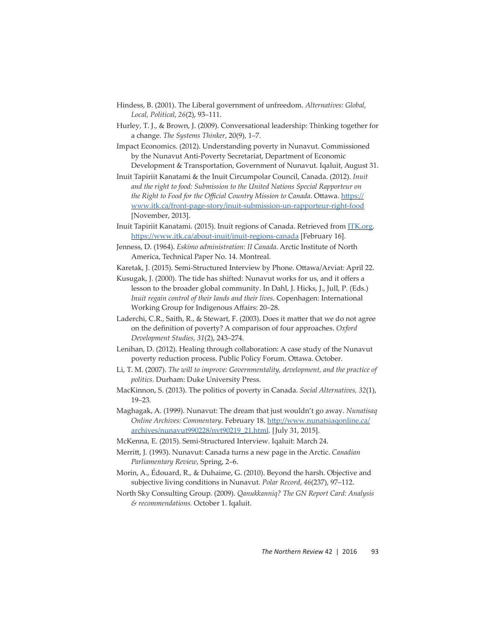- Hindess, B. (2001). The Liberal government of unfreedom. *Alternatives: Global, Local, Political*, *26*(2), 93–111.
- Hurley, T. J., & Brown, J. (2009). Conversational leadership: Thinking together for a change. *The Systems Thinker*, 20(9), 1–7.
- Impact Economics. (2012). Understanding poverty in Nunavut. Commissioned by the Nunavut Anti-Poverty Secretariat, Department of Economic Development & Transportation, Government of Nunavut. Iqaluit, August 31.
- Inuit Tapiriit Kanatami & the Inuit Circumpolar Council, Canada. (2012). *Inuit and the right to food: Submission to the United Nations Special Rapporteur on the Right to Food for the Official Country Mission to Canada. Ottawa. https://* www.itk.ca/front-page-story/inuit-submission-un-rapporteur-right-food [November, 2013].
- Inuit Tapiriit Kanatami. (2015). Inuit regions of Canada. Retrieved from *ITK.org*. https://www.itk.ca/about-inuit/inuit-regions-canada [February 16].
- Jenness, D. (1964). *Eskimo administration: II Canada*. Arctic Institute of North America, Technical Paper No. 14. Montreal.
- Karetak, J. (2015). Semi-Structured Interview by Phone. Ottawa/Arviat: April 22.
- Kusugak, J. (2000). The tide has shifted: Nunavut works for us, and it offers a lesson to the broader global community. In Dahl, J. Hicks, J., Jull, P. (Eds.) *Inuit regain control of their lands and their lives*. Copenhagen: International Working Group for Indigenous Affairs: 20-28.
- Laderchi, C.R., Saith, R., & Stewart, F.  $(2003)$ . Does it matter that we do not agree on the definition of poverty? A comparison of four approaches. *Oxford Development Studies, 31*(2), 243–274.
- Lenihan, D. (2012). Healing through collaboration: A case study of the Nunavut poverty reduction process. Public Policy Forum. Ottawa. October.
- Li, T. M. (2007). *The will to improve: Governmentality, development, and the practice of politics*. Durham: Duke University Press.
- MacKinnon, S. (2013). The politics of poverty in Canada. *Social Alternatives, 32*(1), 19–23.
- Maghagak, A. (1999). Nunavut: The dream that just wouldn't go away. *Nunatisaq Online Archives: Commentary. February 18. http://www.nunatsiagonline.ca/* archives/nunavut990228/nvt90219\_21.html. [July 31, 2015].
- McKenna, E. (2015). Semi-Structured Interview. Iqaluit: March 24.
- Merritt, J. (1993). Nunavut: Canada turns a new page in the Arctic. *Canadian Parliamentary Review*, Spring, 2–6.
- Morin, A., Édouard, R., & Duhaime, G. (2010). Beyond the harsh. Objective and subjective living conditions in Nunavut. *Polar Record*, *46*(237), 97–112.
- North Sky Consulting Group. (2009). *Qanukkanniq? The GN Report Card: Analysis & recommendations.* October 1. Iqaluit.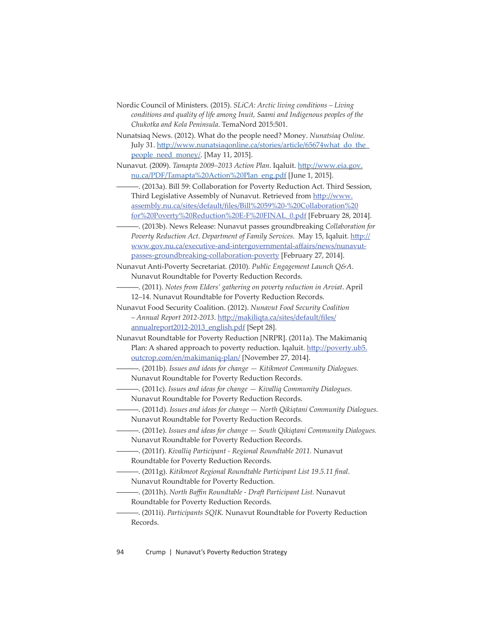- Nordic Council of Ministers. (2015). *SLiCA: Arctic living conditions Living conditions and quality of life among Inuit, Saami and Indigenous peoples of the Chukotka and Kola Peninsula*. TemaNord 2015:501.
- Nunatsiaq News. (2012). What do the people need? Money. *Nunatsiaq Online.* July 31. http://www.nunatsiagonline.ca/stories/article/65674what\_do\_the people\_need\_money/. [May 11, 2015].
- Nunavut. (2009). *Tamapta 2009–2013 Action Plan*. Iqaluit. http://www.eia.gov. nu.ca/PDF/Tamapta%20Action%20Plan\_eng.pdf [June 1, 2015].
	- -. (2013a). Bill 59: Collaboration for Poverty Reduction Act. Third Session, Third Legislative Assembly of Nunavut. Retrieved from http://www. assembly.nu.ca/sites/default/files/Bill%2059%20-%20Collaboration%20 for%20Poverty%20Reduction%20E-F%20FINAL\_0.pdf [February 28, 2014].
	- ———. (2013b). News Release: Nunavut passes groundbreaking *Collaboration for Poverty Reduction Act. Department of Family Services. May 15, Iqaluit. http://* www.gov.nu.ca/executive-and-intergovernmental-affairs/news/nunavutpasses-groundbreaking-collaboration-poverty [February 27, 2014].
- Nunavut Anti-Poverty Secretariat. (2010). *Public Engagement Launch Q&A*. Nunavut Roundtable for Poverty Reduction Records.
- ———. (2011). *Notes from Elders' gathering on poverty reduction in Arviat*. April 12–14. Nunavut Roundtable for Poverty Reduction Records.
- Nunavut Food Security Coalition. (2012). *Nunavut Food Security Coalition*  - Annual Report 2012-2013. http://makiliqta.ca/sites/default/files/ annualreport2012-2013\_english.pdf [Sept 28].
- Nunavut Roundtable for Poverty Reduction [NRPR]. (2011a). The Makimaniq Plan: A shared approach to poverty reduction. Iqaluit. http://poverty.ub5. outcrop.com/en/makimaniq-plan/ [November 27, 2014].
- ———. (2011b). *Issues and ideas for change Kitikmeot Community Dialogues.*  Nunavut Roundtable for Poverty Reduction Records.
- ———. (2011c). *Issues and ideas for change Kivalliq Community Dialogues.*  Nunavut Roundtable for Poverty Reduction Records.
- ———. (2011d). *Issues and ideas for change North Qikiqtani Community Dialogues*. Nunavut Roundtable for Poverty Reduction Records.
- ———. (2011e). *Issues and ideas for change South Qikiqtani Community Dialogues.* Nunavut Roundtable for Poverty Reduction Records.
- ———. (2011f). *Kivalliq Participant Regional Roundtable 2011.* Nunavut Roundtable for Poverty Reduction Records.
- ———. (2011g). *Kitikmeot Regional Roundtable Participant List 19.5.11 fi nal*. Nunavut Roundtable for Poverty Reduction.
- ———. (2011h). *North Baffi n Roundtable Draft Participant List.* Nunavut Roundtable for Poverty Reduction Records.
- ———. (2011i). *Participants SQIK.* Nunavut Roundtable for Poverty Reduction Records.

94 Crump | Nunavut's Poverty Reduction Strategy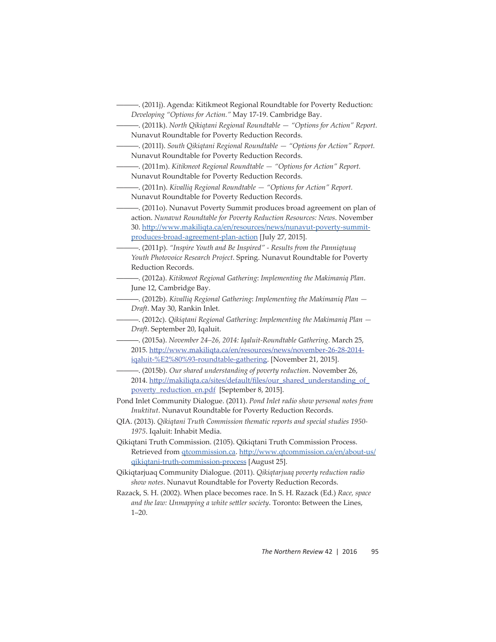- ———. (2011m). *Kitikmeot Regional Roundtable "Options for Action" Report.*  Nunavut Roundtable for Poverty Reduction Records.
- -. (2011n). *Kivalliq Regional Roundtable "Options for Action" Report.* Nunavut Roundtable for Poverty Reduction Records.
- ———. (2011o). Nunavut Poverty Summit produces broad agreement on plan of action. *Nunavut Roundtable for Poverty Reduction Resources: News*. November 30. http://www.makiliqta.ca/en/resources/news/nunavut-poverty-summitproduces-broad-agreement-plan-action [July 27, 2015].
- ———. (2011p). *"Inspire Youth and Be Inspired" Results from the Panniqtuuq Youth Photovoice Research Project*. Spring. Nunavut Roundtable for Poverty Reduction Records.
- ———. (2012a). *Kitikmeot Regional Gathering*: *Implementing the Makimaniq Plan*. June 12, Cambridge Bay.
- ———. (2012b). *Kivalliq Regional Gathering*: *Implementing the Makimaniq Plan Draft*. May 30, Rankin Inlet.
- ———. (2012c). *Qikiqtani Regional Gathering*: *Implementing the Makimaniq Plan Draft*. September 20, Iqaluit.
- ———. (2015a). *November 24–26, 2014: Iqaluit-Roundtable Gathering*. March 25, 2015. http://www.makiligta.ca/en/resources/news/november-26-28-2014iqaluit-%E2%80%93-roundtable-gathering. [November 21, 2015].
- ———. (2015b). *Our shared understanding of poverty reduction*. November 26, 2014. http://makiligta.ca/sites/default/files/our\_shared\_understanding\_of\_ poverty\_reduction\_en.pdf [September 8, 2015].
- Pond Inlet Community Dialogue. (2011). *Pond Inlet radio show personal notes from Inuktitut*. Nunavut Roundtable for Poverty Reduction Records.
- QIA. (2013). *Qikiqtani Truth Commission thematic reports and special studies 1950- 1975*. Iqaluit: Inhabit Media.
- Qikiqtani Truth Commission. (2105). Qikiqtani Truth Commission Process. Retrieved from <u>qtcommission.ca</u>. http://www.qtcommission.ca/en/about-us/ qikiqtani-truth-commission-process [August 25].
- Qikiqtarjuaq Community Dialogue. (2011). *Qikiqtarjuaq poverty reduction radio show notes*. Nunavut Roundtable for Poverty Reduction Records.
- Razack, S. H. (2002). When place becomes race. In S. H. Razack (Ed.) *Race, space*  and the law: Unmapping a white settler society. Toronto: Between the Lines, 1–20.